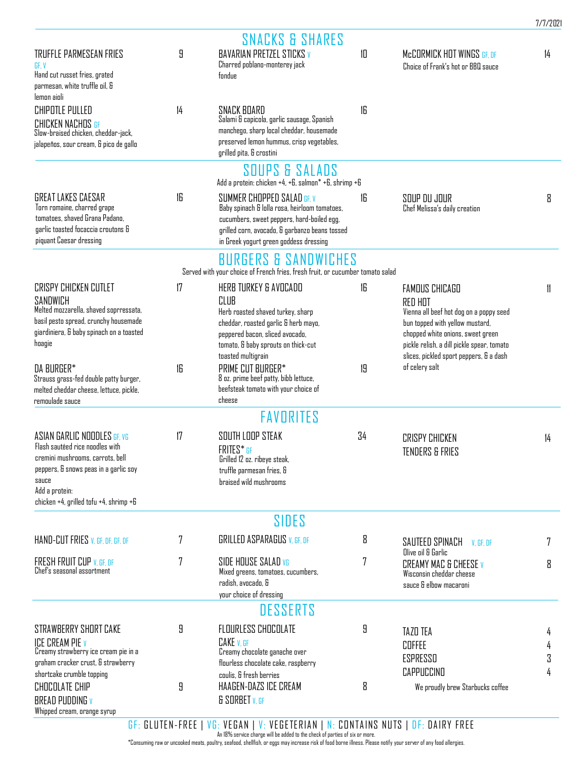|                                                                                                                                                                                                                  |    | <b>SNACKS &amp; SHARES</b>                                                                                                                                                                                            |    |                                                                                                                                                                                                                                       |        |
|------------------------------------------------------------------------------------------------------------------------------------------------------------------------------------------------------------------|----|-----------------------------------------------------------------------------------------------------------------------------------------------------------------------------------------------------------------------|----|---------------------------------------------------------------------------------------------------------------------------------------------------------------------------------------------------------------------------------------|--------|
| TRUFFLE PARMESEAN FRIES<br>GF. V<br>Hand cut russet fries, grated<br>parmesan, white truffle oil, &                                                                                                              | 9  | <b>BAVARIAN PRETZEL STICKS V</b><br>Charred poblano-monterey jack<br>fondue                                                                                                                                           | 10 | McCORMICK HOT WINGS GF, DF<br>Choice of Frank's hot or BBQ sauce                                                                                                                                                                      | 14     |
| lemon aioli                                                                                                                                                                                                      |    |                                                                                                                                                                                                                       |    |                                                                                                                                                                                                                                       |        |
| <b>CHIPOTLE PULLED</b><br>CHICKEN NACHOS GF<br>Slow-braised chicken, cheddar-jack,<br>jalapeños, sour cream, & pico de gallo                                                                                     | 14 | SNACK BOARD<br>Salami & capicola, garlic sausage, Spanish<br>manchego, sharp local cheddar, housemade<br>preserved lemon hummus, crisp vegetables,<br>grilled pita, & crostini                                        | 16 |                                                                                                                                                                                                                                       |        |
|                                                                                                                                                                                                                  |    | SOUPS & SALADS<br>Add a protein: chicken +4, +6, salmon* +6, shrimp +6                                                                                                                                                |    |                                                                                                                                                                                                                                       |        |
| GREAT LAKES CAESAR<br>Torn romaine, charred grape<br>tomatoes, shaved Grana Padano,<br>garlic toasted focaccia croutons &<br>piquant Caesar dressing                                                             | 16 | SUMMER CHOPPED SALAD GF, V<br>Baby spinach & lolla rosa, heirloom tomatoes,<br>cucumbers, sweet peppers, hard-boiled egg,<br>grilled corn, avocado, & garbanzo beans tossed<br>in Greek yogurt green goddess dressing | 16 | SOUP DU JOUR<br>Chef Melissa's daily creation                                                                                                                                                                                         | 8      |
|                                                                                                                                                                                                                  |    | <b>BURGERS &amp; SANDWICHES</b>                                                                                                                                                                                       |    |                                                                                                                                                                                                                                       |        |
|                                                                                                                                                                                                                  |    | Served with your choice of French fries, fresh fruit, or cucumber tomato salad                                                                                                                                        |    |                                                                                                                                                                                                                                       |        |
| <b>CRISPY CHICKEN CUTLET</b><br>SANDWICH<br>Melted mozzarella, shaved soprressata,<br>basil pesto spread, crunchy housemade<br>giardiniera, & baby spinach on a toasted<br>hoagie                                | 17 | HERB TURKEY & AVOCADO<br>CLUB<br>Herb roasted shaved turkey, sharp<br>cheddar, roasted garlic & herb mayo,<br>peppered bacon, sliced avocado,<br>tomato, & baby sprouts on thick-cut<br>toasted multigrain            | 16 | FAMOUS CHICAGO<br>RED HOT<br>Vienna all beef hot dog on a poppy seed<br>bun topped with yellow mustard,<br>chopped white onions, sweet green<br>pickle relish, a dill pickle spear, tomato<br>slices, pickled sport peppers, & a dash | 11     |
| DA BURGER*<br>Strauss grass-fed double patty burger,<br>melted cheddar cheese, lettuce, pickle,<br>remoulade sauce                                                                                               | 16 | PRIME CUT BURGER*<br>8 oz. prime beef patty, bibb lettuce,<br>beefsteak tomato with your choice of<br>cheese                                                                                                          | 19 | of celery salt                                                                                                                                                                                                                        |        |
|                                                                                                                                                                                                                  |    | <b>FAVORITES</b>                                                                                                                                                                                                      |    |                                                                                                                                                                                                                                       |        |
| ASIAN GARLIC NOODLES GF. VG<br>Flash sautéed rice noodles with<br>cremini mushrooms, carrots, bell<br>peppers, & snows peas in a garlic soy<br>sauce<br>Add a protein:<br>chicken +4, grilled tofu +4, shrimp +6 | 17 | SOUTH LOOP STEAK<br>FRITES* GF<br>Grilled 12 oz. ribeye steak,<br>truffle parmesan fries, &<br>braised wild mushrooms                                                                                                 | 34 | <b>CRISPY CHICKEN</b><br><b>TENDERS &amp; FRIES</b>                                                                                                                                                                                   | 4      |
|                                                                                                                                                                                                                  |    | SIDES                                                                                                                                                                                                                 |    |                                                                                                                                                                                                                                       |        |
| HAND-CUT FRIES V. GF, DF, GF, DF                                                                                                                                                                                 | 7  | <b>GRILLED ASPARAGUS V. GF. DF</b>                                                                                                                                                                                    | 8  | SAUTEED SPINACH<br>V. GF. DF<br>Olive oil & Garlic                                                                                                                                                                                    | 7      |
| FRESH FRUIT CUP V, GF, DF<br>Chef's seasonal assortment                                                                                                                                                          | 7  | SIDE HOUSE SALAD VG<br>Mixed greens, tomatoes, cucumbers,<br>radish, avocado, &<br>your choice of dressing                                                                                                            | 7  | <b>CREAMY MAC &amp; CHEESE V</b><br>Wisconsin cheddar cheese<br>sauce & elbow macaroni                                                                                                                                                | 8      |
|                                                                                                                                                                                                                  |    | <b>DESSERTS</b>                                                                                                                                                                                                       |    |                                                                                                                                                                                                                                       |        |
| STRAWBERRY SHORT CAKE<br><b>ICE CREAM PIE V</b>                                                                                                                                                                  | 9  | <b>FLOURLESS CHOCOLATE</b><br>CAKE <sub>V.GF</sub>                                                                                                                                                                    | 9  | TAZO TEA<br><b>COFFEE</b>                                                                                                                                                                                                             | 4<br>4 |
| Creamy strawberry ice cream pie in a<br>graham cracker crust, & strawberry                                                                                                                                       |    | Creamy chocolate ganache over<br>flourless chocolate cake, raspberry                                                                                                                                                  |    | ESPRESSO                                                                                                                                                                                                                              | 3      |
| shortcake crumble topping<br><b>CHOCOLATE CHIP</b><br>BREAD PUDDING V<br>Whipped cream, orange syrup                                                                                                             | 9  | coulis, & fresh berries<br>HAAGEN-DAZS ICE CREAM<br>& SORBET V, GF                                                                                                                                                    | 8  | CAPPUCCINO<br>We proudly brew Starbucks coffee                                                                                                                                                                                        | 4      |

7/7/2021

 $G$  F :  $GLUTEN$  – FREE | VG : VEGAN | V : VEGETERIAN | N :  $CDNTAINS$  NUTS |  $DF$  :  $DAIRY$  FREE

\*Consuming raw or uncooked meats, poultry, seafood, shellfish, or eggs may increase risk of food borne illness. Please notify your server of any food allergies.